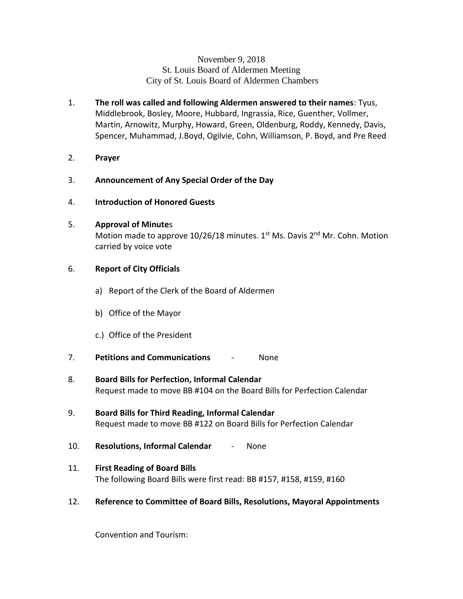# November 9, 2018 St. Louis Board of Aldermen Meeting City of St. Louis Board of Aldermen Chambers

- 1. **The roll was called and following Aldermen answered to their names**: Tyus, Middlebrook, Bosley, Moore, Hubbard, Ingrassia, Rice, Guenther, Vollmer, Martin, Arnowitz, Murphy, Howard, Green, Oldenburg, Roddy, Kennedy, Davis, Spencer, Muhammad, J.Boyd, Ogilvie, Cohn, Williamson, P. Boyd, and Pre Reed
- 2. **Prayer**
- 3. **Announcement of Any Special Order of the Day**
- 4. **Introduction of Honored Guests**

# 5. **Approval of Minute**s

Motion made to approve  $10/26/18$  minutes.  $1<sup>st</sup>$  Ms. Davis  $2<sup>nd</sup>$  Mr. Cohn. Motion carried by voice vote

# 6. **Report of City Officials**

- a) Report of the Clerk of the Board of Aldermen
- b) Office of the Mayor
- c.) Office of the President
- 7. **Petitions and Communications** None
- 8. **Board Bills for Perfection, Informal Calendar**  Request made to move BB #104 on the Board Bills for Perfection Calendar
- 9. **Board Bills for Third Reading, Informal Calendar** Request made to move BB #122 on Board Bills for Perfection Calendar
- 10. **Resolutions, Informal Calendar** None
- 11. **First Reading of Board Bills** The following Board Bills were first read: BB #157, #158, #159, #160
- 12. **Reference to Committee of Board Bills, Resolutions, Mayoral Appointments**

Convention and Tourism: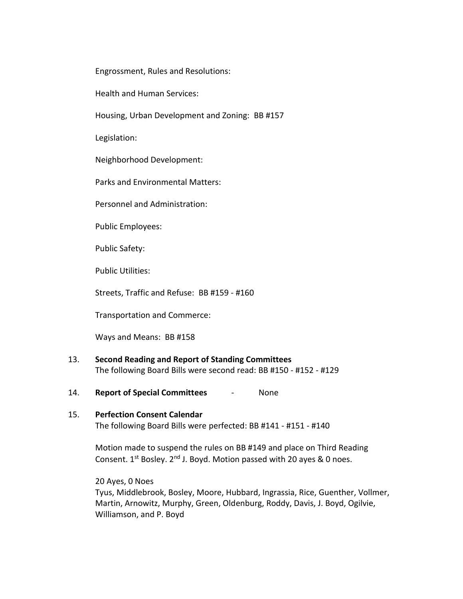Engrossment, Rules and Resolutions:

Health and Human Services:

Housing, Urban Development and Zoning: BB #157

Legislation:

Neighborhood Development:

Parks and Environmental Matters:

Personnel and Administration:

Public Employees:

Public Safety:

Public Utilities:

Streets, Traffic and Refuse: BB #159 - #160

Transportation and Commerce:

Ways and Means: BB #158

- 13. **Second Reading and Report of Standing Committees** The following Board Bills were second read: BB #150 - #152 - #129
- 14. **Report of Special Committees** None

# 15. **Perfection Consent Calendar** The following Board Bills were perfected: BB #141 - #151 - #140

Motion made to suspend the rules on BB #149 and place on Third Reading Consent.  $1^{st}$  Bosley.  $2^{nd}$  J. Boyd. Motion passed with 20 ayes & 0 noes.

20 Ayes, 0 Noes

Tyus, Middlebrook, Bosley, Moore, Hubbard, Ingrassia, Rice, Guenther, Vollmer, Martin, Arnowitz, Murphy, Green, Oldenburg, Roddy, Davis, J. Boyd, Ogilvie, Williamson, and P. Boyd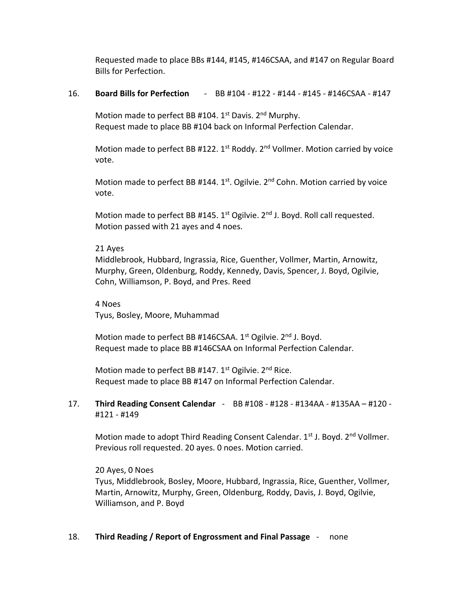Requested made to place BBs #144, #145, #146CSAA, and #147 on Regular Board Bills for Perfection.

#### 16. **Board Bills for Perfection** - BB #104 - #122 - #144 - #145 - #146CSAA - #147

Motion made to perfect BB #104.  $1<sup>st</sup>$  Davis. 2<sup>nd</sup> Murphy. Request made to place BB #104 back on Informal Perfection Calendar.

Motion made to perfect BB #122. 1<sup>st</sup> Roddy. 2<sup>nd</sup> Vollmer. Motion carried by voice vote.

Motion made to perfect BB #144.  $1^{st}$ . Ogilvie.  $2^{nd}$  Cohn. Motion carried by voice vote.

Motion made to perfect BB #145.  $1^{st}$  Ogilvie.  $2^{nd}$  J. Boyd. Roll call requested. Motion passed with 21 ayes and 4 noes.

#### 21 Ayes

Middlebrook, Hubbard, Ingrassia, Rice, Guenther, Vollmer, Martin, Arnowitz, Murphy, Green, Oldenburg, Roddy, Kennedy, Davis, Spencer, J. Boyd, Ogilvie, Cohn, Williamson, P. Boyd, and Pres. Reed

4 Noes Tyus, Bosley, Moore, Muhammad

Motion made to perfect BB #146CSAA. 1<sup>st</sup> Ogilvie. 2<sup>nd</sup> J. Boyd. Request made to place BB #146CSAA on Informal Perfection Calendar.

Motion made to perfect BB #147. 1<sup>st</sup> Ogilvie. 2<sup>nd</sup> Rice. Request made to place BB #147 on Informal Perfection Calendar.

# 17. **Third Reading Consent Calendar** - BB #108 - #128 - #134AA - #135AA – #120 - #121 - #149

Motion made to adopt Third Reading Consent Calendar.  $1<sup>st</sup>$  J. Boyd.  $2<sup>nd</sup>$  Vollmer. Previous roll requested. 20 ayes. 0 noes. Motion carried.

20 Ayes, 0 Noes Tyus, Middlebrook, Bosley, Moore, Hubbard, Ingrassia, Rice, Guenther, Vollmer, Martin, Arnowitz, Murphy, Green, Oldenburg, Roddy, Davis, J. Boyd, Ogilvie, Williamson, and P. Boyd

#### 18. **Third Reading / Report of Engrossment and Final Passage** - none